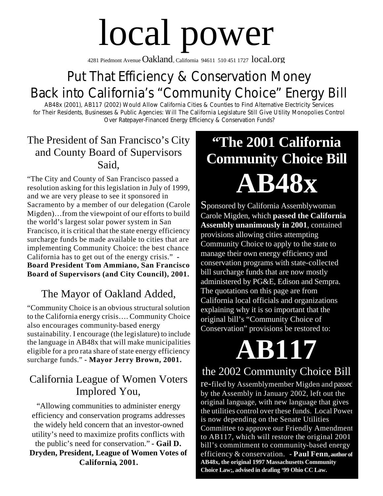# local power

4281 Piedmont Avenue  $Oakland$ , California 94611 510 451 1727  $local.org$ 

### Put That Efficiency & Conservation Money Back into California's "Community Choice" Energy Bill

AB48x (2001), AB117 (2002) Would Allow California Cities & Counties to Find Alternative Electricity Services for Their Residents, Businesses & Public Agencies: Will The California Legislature Still Give Utility Monopolies Control Over Ratepayer-Financed Energy Efficiency & Conservation Funds?

#### The President of San Francisco's City and County Board of Supervisors Said,

"The City and County of San Francisco passed a resolution asking for this legislation in July of 1999, and we are very please to see it sponsored in Sacramento by a member of our delegation (Carole Migden)…from the viewpoint of our efforts to build the world's largest solar power system in San Francisco, it is critical that the state energy efficiency surcharge funds be made available to cities that are implementing Community Choice: the best chance California has to get out of the energy crisis." **- Board President Tom Ammiano, San Francisco Board of Supervisors (and City Council), 2001.**

#### The Mayor of Oakland Added,

"Community Choice is an obvious structural solution to the California energy crisis…. Community Choice also encourages community-based energy sustainability. I encourage (the legislature) to include the language in AB48x that will make municipalities eligible for a pro rata share of state energy efficiency surcharge funds." **- Mayor Jerry Brown, 2001.**

#### California League of Women Voters Implored You,

"Allowing communities to administer energy efficiency and conservation programs addresses the widely held concern that an investor-owned utility's need to maximize profits conflicts with the public's need for conservation." **- Gail D. Dryden, President, League of Women Votes of California, 2001.**

# **"The 2001 California Community Choice Bill AB48x**

Sponsored by California Assemblywoman Carole Migden, which **passed the California Assembly unanimously in 2001**, contained provisions allowing cities attempting Community Choice to apply to the state to manage their own energy efficiency and conservation programs with state-collected bill surcharge funds that are now mostly administered by PG&E, Edison and Sempra. The quotations on this page are from California local officials and organizations explaining why it is so important that the original bill's "Community Choice of Conservation" provisions be restored to:

# **AB117**

#### the 2002 Community Choice Bill

re-filed by Assemblymember Migden and passed by the Assembly in January 2002, left out the original language, with new language that gives the utilities control over these funds. Local Power is now depending on the Senate Utilities Committee to approve our Friendly Amendment to AB117, which will restore the original 2001 bill's commitment to community-based energy efficiency & conservation. **- Paul Fenn, author of AB48x, the original 1997 Massachusetts Community Choice Law;, advised in drafing '99 Ohio CC Law.**